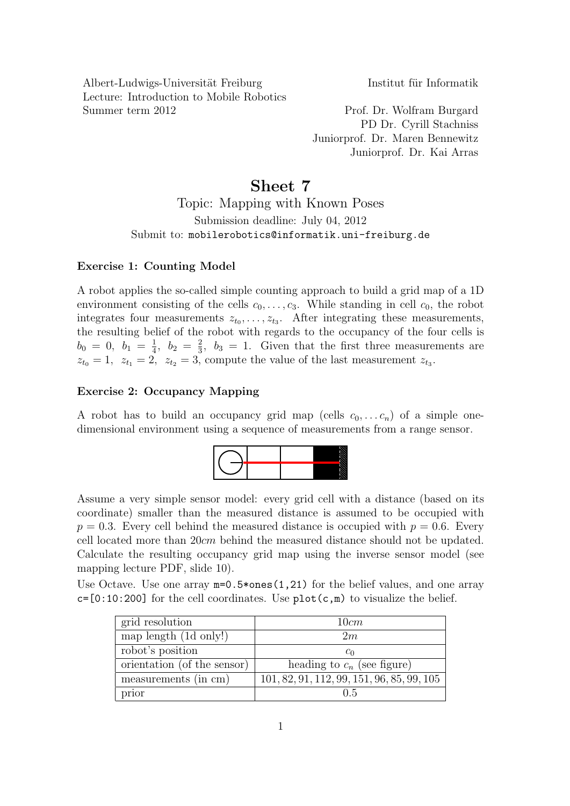Albert-Ludwigs-Universität Freiburg Institut für Informatik Lecture: Introduction to Mobile Robotics Summer term 2012 Prof. Dr. Wolfram Burgard

PD Dr. Cyrill Stachniss Juniorprof. Dr. Maren Bennewitz Juniorprof. Dr. Kai Arras

## Sheet 7

Topic: Mapping with Known Poses Submission deadline: July 04, 2012 Submit to: mobilerobotics@informatik.uni-freiburg.de

## Exercise 1: Counting Model

A robot applies the so-called simple counting approach to build a grid map of a 1D environment consisting of the cells  $c_0, \ldots, c_3$ . While standing in cell  $c_0$ , the robot integrates four measurements  $z_{t_0}, \ldots, z_{t_3}$ . After integrating these measurements, the resulting belief of the robot with regards to the occupancy of the four cells is  $b_0 = 0, b_1 = \frac{1}{4}$  $\frac{1}{4}$ ,  $b_2 = \frac{2}{3}$  $\frac{2}{3}$ ,  $b_3 = 1$ . Given that the first three measurements are  $z_{t_0} = 1$ ,  $z_{t_1} = 2$ ,  $z_{t_2} = 3$ , compute the value of the last measurement  $z_{t_3}$ .

## Exercise 2: Occupancy Mapping

A robot has to build an occupancy grid map (cells  $c_0, \ldots c_n$ ) of a simple onedimensional environment using a sequence of measurements from a range sensor.



Assume a very simple sensor model: every grid cell with a distance (based on its coordinate) smaller than the measured distance is assumed to be occupied with  $p = 0.3$ . Every cell behind the measured distance is occupied with  $p = 0.6$ . Every cell located more than 20cm behind the measured distance should not be updated. Calculate the resulting occupancy grid map using the inverse sensor model (see mapping lecture PDF, slide 10).

Use Octave. Use one array  $m=0.5*ones(1,21)$  for the belief values, and one array  $c=[0:10:200]$  for the cell coordinates. Use  $plot(c,m)$  to visualize the belief.

| grid resolution             | 10cm                                         |
|-----------------------------|----------------------------------------------|
| map length (1d only!)       | 2m                                           |
| robot's position            | $c_0$                                        |
| orientation (of the sensor) | heading to $c_n$ (see figure)                |
| measurements (in cm)        | $101, 82, 91, 112, 99, 151, 96, 85, 99, 105$ |
| prior                       | በ 5                                          |